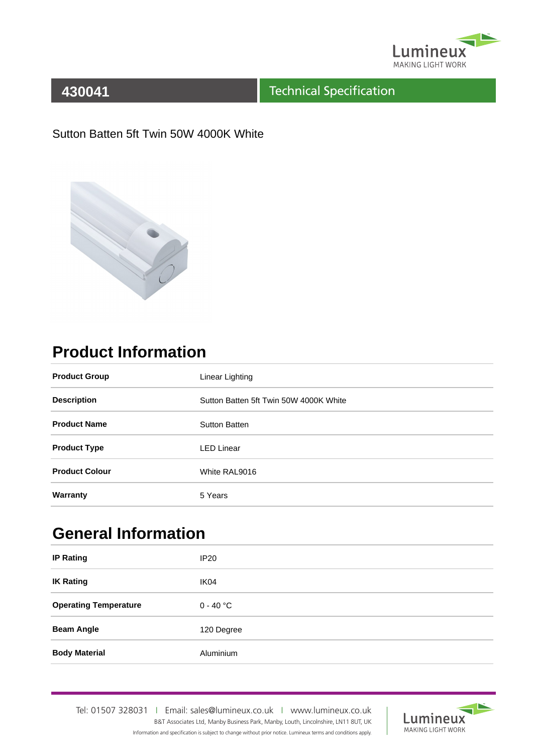

#### Technical Specification

#### Sutton Batten 5ft Twin 50W 4000K White



# **Product Information**

| <b>Product Group</b>  | Linear Lighting                        |
|-----------------------|----------------------------------------|
| <b>Description</b>    | Sutton Batten 5ft Twin 50W 4000K White |
| <b>Product Name</b>   | <b>Sutton Batten</b>                   |
| <b>Product Type</b>   | <b>LED Linear</b>                      |
| <b>Product Colour</b> | White RAL9016                          |
| Warranty              | 5 Years                                |

## **General Information**

| <b>IP Rating</b>             | IP <sub>20</sub> |
|------------------------------|------------------|
| <b>IK Rating</b>             | IK04             |
| <b>Operating Temperature</b> | $0 - 40$ °C      |
| <b>Beam Angle</b>            | 120 Degree       |
| <b>Body Material</b>         | Aluminium        |

Tel: 01507 328031IEmail: sales@lumineux.co.ukIwww.lumineux.co.uk B&T Associates Ltd, Manby Business Park, Manby, Louth, Lincolnshire, LN11 8UT, UK Information and specification is subject to change without prior notice. Lumineux terms and conditions apply.

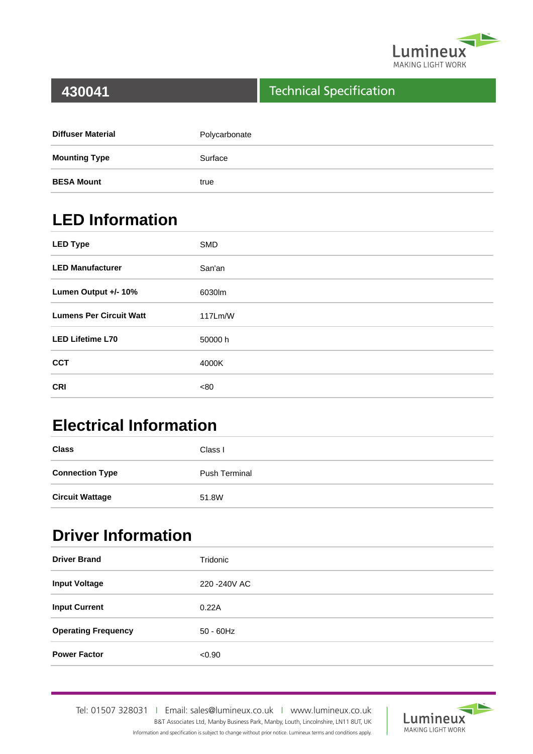

#### Technical Specification

| <b>Diffuser Material</b> | Polycarbonate |
|--------------------------|---------------|
| <b>Mounting Type</b>     | Surface       |
| <b>BESA Mount</b>        | true          |

# **LED Information**

| <b>LED Type</b>                | <b>SMD</b> |
|--------------------------------|------------|
| <b>LED Manufacturer</b>        | San'an     |
| Lumen Output +/- 10%           | 6030lm     |
| <b>Lumens Per Circuit Watt</b> | 117Lm/W    |
| <b>LED Lifetime L70</b>        | 50000 h    |
| <b>CCT</b>                     | 4000K      |
| <b>CRI</b>                     | <80        |

## **Electrical Information**

| <b>Class</b>           | Class I              |
|------------------------|----------------------|
| <b>Connection Type</b> | <b>Push Terminal</b> |
| <b>Circuit Wattage</b> | 51.8W                |

### **Driver Information**

| <b>Driver Brand</b>        | Tridonic      |
|----------------------------|---------------|
| <b>Input Voltage</b>       | 220 - 240 VAC |
| <b>Input Current</b>       | 0.22A         |
| <b>Operating Frequency</b> | $50 - 60$ Hz  |
| <b>Power Factor</b>        | < 0.90        |

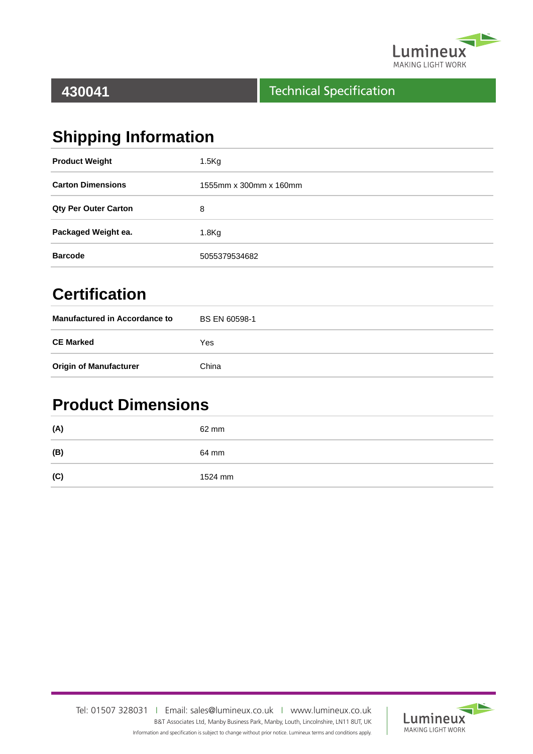

#### Technical Specification

# **Shipping Information**

| <b>Product Weight</b>       | 1.5 <sub>kg</sub>      |
|-----------------------------|------------------------|
| <b>Carton Dimensions</b>    | 1555mm x 300mm x 160mm |
| <b>Qty Per Outer Carton</b> | 8                      |
| Packaged Weight ea.         | 1.8 <sub>g</sub>       |
| <b>Barcode</b>              | 5055379534682          |

## **Certification**

| <b>Manufactured in Accordance to</b> | <b>BS EN 60598-1</b> |
|--------------------------------------|----------------------|
| <b>CE Marked</b>                     | Yes                  |
| <b>Origin of Manufacturer</b>        | China                |

### **Product Dimensions**

| (A) | 62 mm   |
|-----|---------|
| (B) | 64 mm   |
| (C) | 1524 mm |